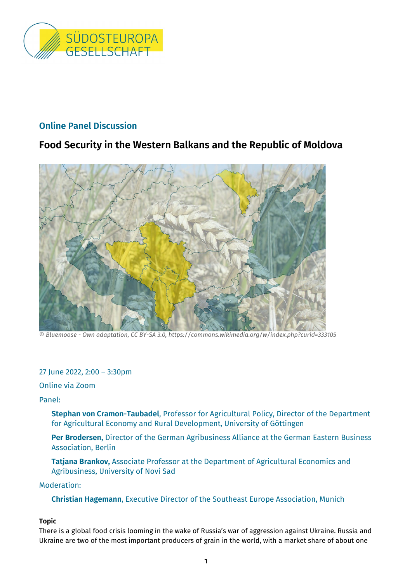

# **Online Panel Discussion**

# **Food Security in the Western Balkans and the Republic of Moldova**



*© Bluemoose - Own adaptation, CC BY-SA 3.0, https://commons.wikimedia.org/w/index.php?curid=333105*

27 June 2022, 2:00 – 3:30pm

Online via Zoom

Panel:

**Stephan von Cramon-Taubadel**, Professor for Agricultural Policy, Director of the Department for Agricultural Economy and Rural Development, University of Göttingen

**Per Brodersen,** Director of the German Agribusiness Alliance at the German Eastern Business Association, Berlin

**Tatjana Brankov,** Associate Professor at the Department of Agricultural Economics and Agribusiness, University of Novi Sad

## Moderation:

**Christian Hagemann**, Executive Director of the Southeast Europe Association, Munich

### **Topic**

There is a global food crisis looming in the wake of Russia's war of aggression against Ukraine. Russia and Ukraine are two of the most important producers of grain in the world, with a market share of about one